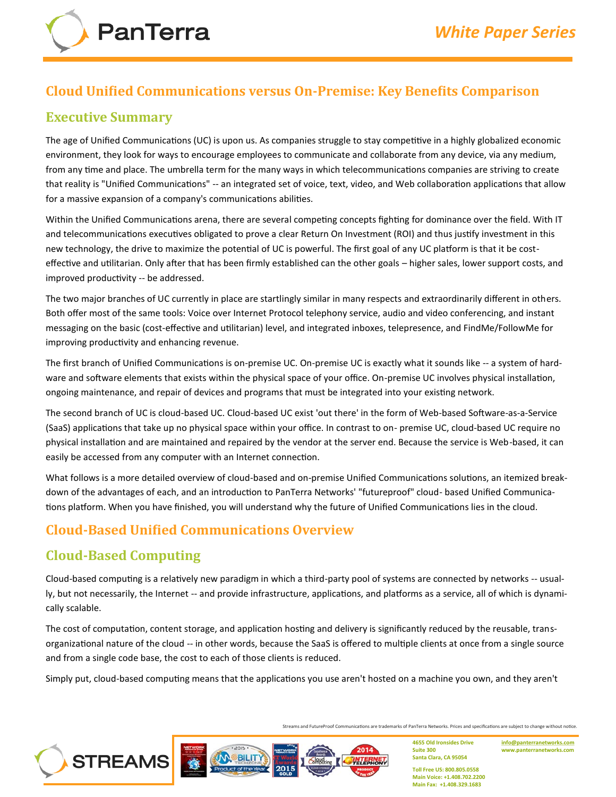## **Cloud Unified Communications versus On‐Premise: Key Benefits Comparison**

### **Executive Summary**

The age of Unified Communications (UC) is upon us. As companies struggle to stay competitive in a highly globalized economic environment, they look for ways to encourage employees to communicate and collaborate from any device, via any medium, from any time and place. The umbrella term for the many ways in which telecommunications companies are striving to create that reality is "Unified Communications" ‐‐ an integrated set of voice, text, video, and Web collaboration applications that allow for a massive expansion of a company's communications abilities.

Within the Unified Communications arena, there are several competing concepts fighting for dominance over the field. With IT and telecommunications executives obligated to prove a clear Return On Investment (ROI) and thus justify investment in this new technology, the drive to maximize the potential of UC is powerful. The first goal of any UC platform is that it be costeffective and utilitarian. Only after that has been firmly established can the other goals – higher sales, lower support costs, and improved productivity ‐‐ be addressed.

The two major branches of UC currently in place are startlingly similar in many respects and extraordinarily different in others. Both offer most of the same tools: Voice over Internet Protocol telephony service, audio and video conferencing, and instant messaging on the basic (cost‐effective and utilitarian) level, and integrated inboxes, telepresence, and FindMe/FollowMe for improving productivity and enhancing revenue.

The first branch of Unified Communications is on‐premise UC. On‐premise UC is exactly what it sounds like ‐‐ a system of hardware and software elements that exists within the physical space of your office. On-premise UC involves physical installation, ongoing maintenance, and repair of devices and programs that must be integrated into your existing network.

The second branch of UC is cloud‐based UC. Cloud‐based UC exist 'out there' in the form of Web‐based Software‐as‐a‐Service (SaaS) applications that take up no physical space within your office. In contrast to on‐ premise UC, cloud‐based UC require no physical installation and are maintained and repaired by the vendor at the server end. Because the service is Web‐based, it can easily be accessed from any computer with an Internet connection.

What follows is a more detailed overview of cloud-based and on-premise Unified Communications solutions, an itemized breakdown of the advantages of each, and an introduction to PanTerra Networks' "futureproof" cloud‐ based Unified Communications platform. When you have finished, you will understand why the future of Unified Communications lies in the cloud.

# **Cloud‐Based Unified Communications Overview**

# **Cloud‐Based Computing**

Cloud‐based computing is a relatively new paradigm in which a third‐party pool of systems are connected by networks ‐‐ usually, but not necessarily, the Internet ‐‐ and provide infrastructure, applications, and platforms as a service, all of which is dynamically scalable.

The cost of computation, content storage, and application hosting and delivery is significantly reduced by the reusable, trans‐ organizational nature of the cloud ‐‐ in other words, because the SaaS is offered to multiple clients at once from a single source and from a single code base, the cost to each of those clients is reduced.

Simply put, cloud‐based computing means that the applications you use aren't hosted on a machine you own, and they aren't

Streams and FutureProof Communications are trademarks of PanTerra Networks. Prices and specifications are subject to change without notice.

2014





**4655 Old Ironsides Drive Suite 300 Santa Clara, CA 95054**

**[info@panterranetworks.com](mailto:info@panterranetworks.com) www.panterranetworks.com**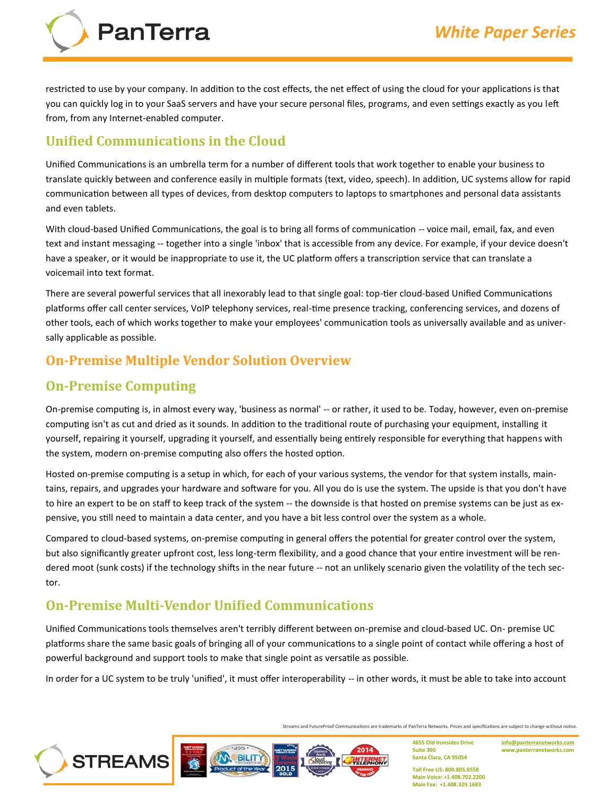

restricted to use by your company. In addition to the cost effects, the net effect of using the cloud for your applications is that you can quickly log in to your SaaS servers and have your secure personal files, programs, and even settings exactly as you left from, from any Internet-enabled computer.

### **Unified Communications in the Cloud**

PanTerra

Unified Communications is an umbrella term for a number of different tools that work together to enable your business to translate quickly between and conference easily in multiple formats (text, video, speech). In addition, UC systems allow for rapid communication between all types of devices, from desktop computers to laptops to smartphones and personal data assistants and even tablets.

With cloud-based Unified Communications, the goal is to bring all forms of communication -- voice mail, email, fax, and even text and instant messaging ‐‐ together into a single 'inbox' that is accessible from any device. For example, if your device doesn't have a speaker, or it would be inappropriate to use it, the UC platform offers a transcription service that can translate a voicemail into text format.

There are several powerful services that all inexorably lead to that single goal: top-tier cloud-based Unified Communications platforms offer call center services, VoIP telephony services, real-time presence tracking, conferencing services, and dozens of other tools, each of which works together to make your employees' communication tools as universally available and as universally applicable as possible.

### **On‐Premise Multiple Vendor Solution Overview**

## **On‐Premise Computing**

**STREAMS** 

On‐premise computing is, in almost every way, 'business as normal' ‐‐ or rather, it used to be. Today, however, even on‐premise computing isn't as cut and dried as it sounds. In addition to the traditional route of purchasing your equipment, installing it yourself, repairing it yourself, upgrading it yourself, and essentially being entirely responsible for everything that happens with the system, modern on‐premise computing also offers the hosted option.

Hosted on-premise computing is a setup in which, for each of your various systems, the vendor for that system installs, maintains, repairs, and upgrades your hardware and software for you. All you do is use the system. The upside is that you don't have to hire an expert to be on staff to keep track of the system -- the downside is that hosted on premise systems can be just as expensive, you still need to maintain a data center, and you have a bit less control over the system as a whole.

Compared to cloud‐based systems, on‐premise computing in general offers the potential for greater control over the system, but also significantly greater upfront cost, less long‐term flexibility, and a good chance that your entire investment will be rendered moot (sunk costs) if the technology shifts in the near future -- not an unlikely scenario given the volatility of the tech sector.

## **On‐Premise Multi‐Vendor Unified Communications**

**BILIT** 

Unified Communications tools themselves aren't terribly different between on‐premise and cloud‐based UC. On‐ premise UC platforms share the same basic goals of bringing all of your communications to a single point of contact while offering a host of powerful background and support tools to make that single point as versatile as possible.

In order for a UC system to be truly 'unified', it must offer interoperability -- in other words, it must be able to take into account

Streams and FutureProof Communications are trademarks of PanTerra Networks. Prices and specifications are subject to change without notice.

2014

**4655 Old Ironsides Drive Suite 300 Santa Clara, CA 95054**

**[info@panterranetworks.com](mailto:info@panterranetworks.com) www.panterranetworks.com**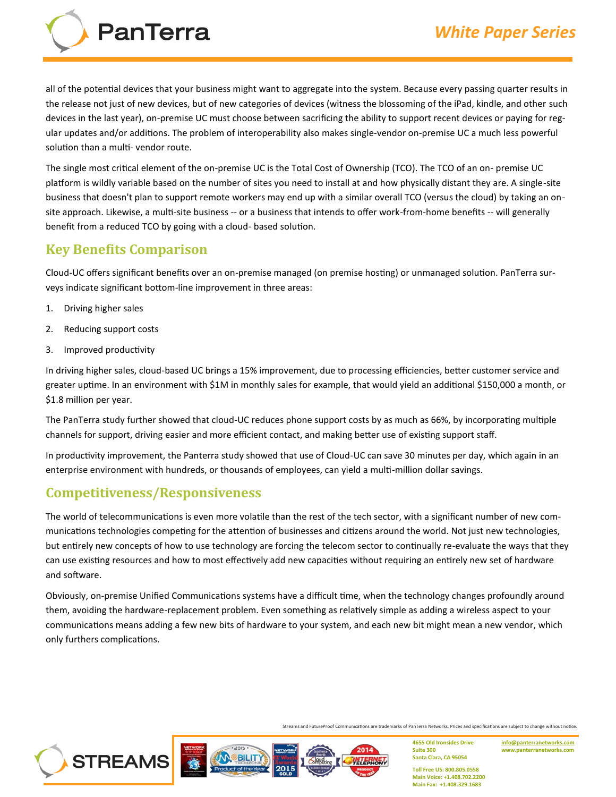all of the potential devices that your business might want to aggregate into the system. Because every passing quarter results in the release not just of new devices, but of new categories of devices (witness the blossoming of the iPad, kindle, and other such devices in the last year), on‐premise UC must choose between sacrificing the ability to support recent devices or paying for regular updates and/or additions. The problem of interoperability also makes single‐vendor on‐premise UC a much less powerful solution than a multi- vendor route.

The single most critical element of the on‐premise UC is the Total Cost of Ownership (TCO). The TCO of an on‐ premise UC platform is wildly variable based on the number of sites you need to install at and how physically distant they are. A single‐site business that doesn't plan to support remote workers may end up with a similar overall TCO (versus the cloud) by taking an on‐ site approach. Likewise, a multi-site business -- or a business that intends to offer work-from-home benefits -- will generally benefit from a reduced TCO by going with a cloud‐ based solution.

## **Key Benefits Comparison**

PanTerra

Cloud‐UC offers significant benefits over an on‐premise managed (on premise hosting) or unmanaged solution. PanTerra surveys indicate significant bottom‐line improvement in three areas:

- 1. Driving higher sales
- 2. Reducing support costs
- 3. Improved productivity

In driving higher sales, cloud‐based UC brings a 15% improvement, due to processing efficiencies, better customer service and greater uptime. In an environment with \$1M in monthly sales for example, that would yield an additional \$150,000 a month, or \$1.8 million per year.

The PanTerra study further showed that cloud‐UC reduces phone support costs by as much as 66%, by incorporating multiple channels for support, driving easier and more efficient contact, and making better use of existing support staff.

In productivity improvement, the Panterra study showed that use of Cloud-UC can save 30 minutes per day, which again in an enterprise environment with hundreds, or thousands of employees, can yield a multi-million dollar savings.

## **Competitiveness/Responsiveness**

**STREAMS** 

The world of telecommunications is even more volatile than the rest of the tech sector, with a significant number of new communications technologies competing for the attention of businesses and citizens around the world. Not just new technologies, but entirely new concepts of how to use technology are forcing the telecom sector to continually re-evaluate the ways that they can use existing resources and how to most effectively add new capacities without requiring an entirely new set of hardware and software.

Obviously, on‐premise Unified Communications systems have a difficult time, when the technology changes profoundly around them, avoiding the hardware‐replacement problem. Even something as relatively simple as adding a wireless aspect to your communications means adding a few new bits of hardware to your system, and each new bit might mean a new vendor, which only furthers complications.

Streams and FutureProof Communications are trademarks of PanTerra Networks. Prices and specifications are subject to change without notice.



**4655 Old Ironsides Drive Suite 300 Santa Clara, CA 95054**

**[info@panterranetworks.com](mailto:info@panterranetworks.com) www.panterranetworks.com**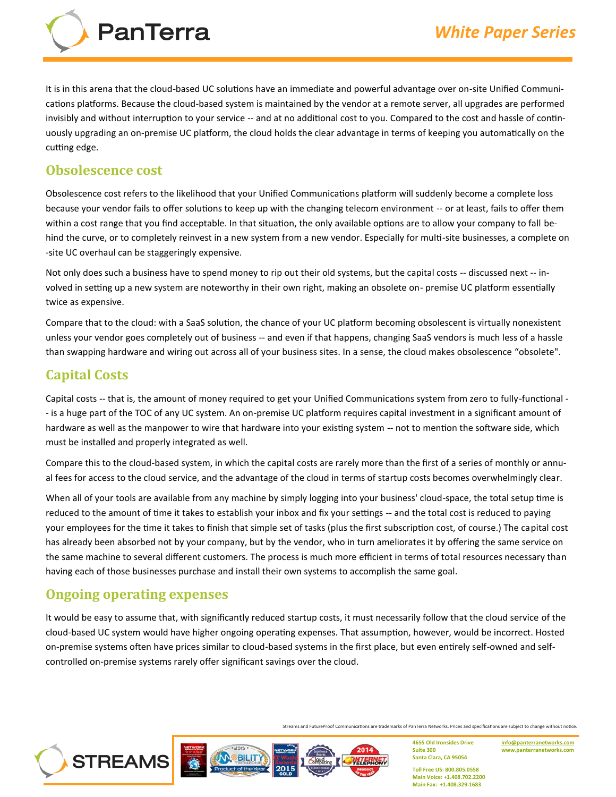PanTerra

It is in this arena that the cloud-based UC solutions have an immediate and powerful advantage over on-site Unified Communications platforms. Because the cloud‐based system is maintained by the vendor at a remote server, all upgrades are performed invisibly and without interruption to your service ‐‐ and at no additional cost to you. Compared to the cost and hassle of continuously upgrading an on‐premise UC platform, the cloud holds the clear advantage in terms of keeping you automatically on the cutting edge.

#### **Obsolescence cost**

Obsolescence cost refers to the likelihood that your Unified Communications platform will suddenly become a complete loss because your vendor fails to offer solutions to keep up with the changing telecom environment -- or at least, fails to offer them within a cost range that you find acceptable. In that situation, the only available options are to allow your company to fall behind the curve, or to completely reinvest in a new system from a new vendor. Especially for multi-site businesses, a complete on ‐site UC overhaul can be staggeringly expensive.

Not only does such a business have to spend money to rip out their old systems, but the capital costs ‐‐ discussed next ‐‐ involved in setting up a new system are noteworthy in their own right, making an obsolete on‐ premise UC platform essentially twice as expensive.

Compare that to the cloud: with a SaaS solution, the chance of your UC platform becoming obsolescent is virtually nonexistent unless your vendor goes completely out of business -- and even if that happens, changing SaaS vendors is much less of a hassle than swapping hardware and wiring out across all of your business sites. In a sense, the cloud makes obsolescence "obsolete".

## **Capital Costs**

Capital costs -- that is, the amount of money required to get your Unified Communications system from zero to fully-functional -‐ is a huge part of the TOC of any UC system. An on‐premise UC platform requires capital investment in a significant amount of hardware as well as the manpower to wire that hardware into your existing system -- not to mention the software side, which must be installed and properly integrated as well.

Compare this to the cloud‐based system, in which the capital costs are rarely more than the first of a series of monthly or annual fees for access to the cloud service, and the advantage of the cloud in terms of startup costs becomes overwhelmingly clear.

When all of your tools are available from any machine by simply logging into your business' cloud-space, the total setup time is reduced to the amount of time it takes to establish your inbox and fix your settings -- and the total cost is reduced to paying your employees for the time it takes to finish that simple set of tasks (plus the first subscription cost, of course.) The capital cost has already been absorbed not by your company, but by the vendor, who in turn ameliorates it by offering the same service on the same machine to several different customers. The process is much more efficient in terms of total resources necessary than having each of those businesses purchase and install their own systems to accomplish the same goal.

#### **Ongoing operating expenses**

**STREAMS** 

It would be easy to assume that, with significantly reduced startup costs, it must necessarily follow that the cloud service of the cloud‐based UC system would have higher ongoing operating expenses. That assumption, however, would be incorrect. Hosted on-premise systems often have prices similar to cloud-based systems in the first place, but even entirely self-owned and selfcontrolled on‐premise systems rarely offer significant savings over the cloud.

Streams and FutureProof Communications are trademarks of PanTerra Networks. Prices and specifications are subject to change without notice.



**4655 Old Ironsides Drive Suite 300 Santa Clara, CA 95054**

**[info@panterranetworks.com](mailto:info@panterranetworks.com) www.panterranetworks.com**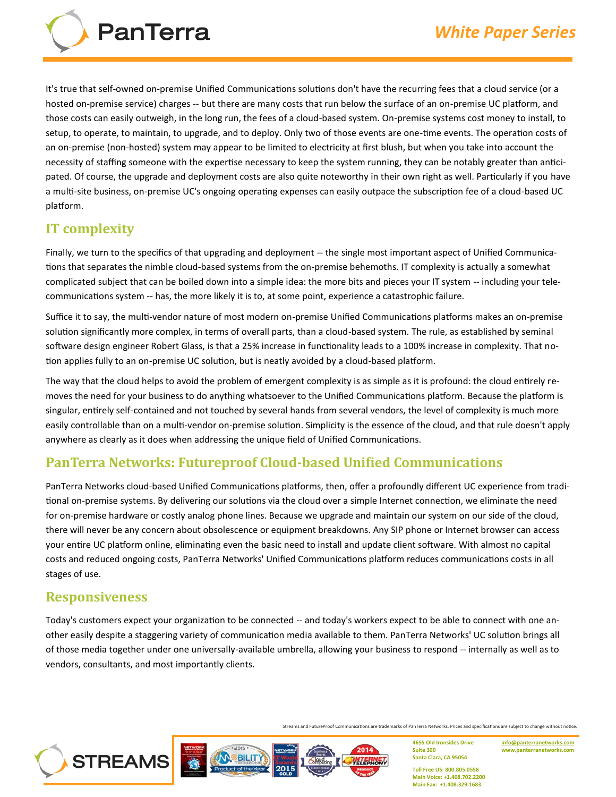

It's true that self-owned on-premise Unified Communications solutions don't have the recurring fees that a cloud service (or a hosted on-premise service) charges -- but there are many costs that run below the surface of an on-premise UC platform, and those costs can easily outweigh, in the long run, the fees of a cloud‐based system. On‐premise systems cost money to install, to setup, to operate, to maintain, to upgrade, and to deploy. Only two of those events are one‐time events. The operation costs of an on-premise (non-hosted) system may appear to be limited to electricity at first blush, but when you take into account the necessity of staffing someone with the expertise necessary to keep the system running, they can be notably greater than anticipated. Of course, the upgrade and deployment costs are also quite noteworthy in their own right as well. Particularly if you have a multi-site business, on-premise UC's ongoing operating expenses can easily outpace the subscription fee of a cloud-based UC platform.

# **IT complexity**

Finally, we turn to the specifics of that upgrading and deployment ‐‐ the single most important aspect of Unified Communications that separates the nimble cloud‐based systems from the on‐premise behemoths. IT complexity is actually a somewhat complicated subject that can be boiled down into a simple idea: the more bits and pieces your IT system -- including your telecommunications system ‐‐ has, the more likely it is to, at some point, experience a catastrophic failure.

Suffice it to say, the multi-vendor nature of most modern on-premise Unified Communications platforms makes an on-premise solution significantly more complex, in terms of overall parts, than a cloud-based system. The rule, as established by seminal software design engineer Robert Glass, is that a 25% increase in functionality leads to a 100% increase in complexity. That notion applies fully to an on-premise UC solution, but is neatly avoided by a cloud-based platform.

The way that the cloud helps to avoid the problem of emergent complexity is as simple as it is profound: the cloud entirely removes the need for your business to do anything whatsoever to the Unified Communications platform. Because the platform is singular, entirely self-contained and not touched by several hands from several vendors, the level of complexity is much more easily controllable than on a multi-vendor on-premise solution. Simplicity is the essence of the cloud, and that rule doesn't apply anywhere as clearly as it does when addressing the unique field of Unified Communications.

## **PanTerra Networks: Futureproof Cloud‐based Unified Communications**

PanTerra Networks cloud‐based Unified Communications platforms, then, offer a profoundly different UC experience from traditional on‐premise systems. By delivering our solutions via the cloud over a simple Internet connection, we eliminate the need for on-premise hardware or costly analog phone lines. Because we upgrade and maintain our system on our side of the cloud, there will never be any concern about obsolescence or equipment breakdowns. Any SIP phone or Internet browser can access your entire UC platform online, eliminating even the basic need to install and update client software. With almost no capital costs and reduced ongoing costs, PanTerra Networks' Unified Communications platform reduces communications costs in all stages of use.

## **Responsiveness**

**STREAMS** 

Today's customers expect your organization to be connected ‐‐ and today's workers expect to be able to connect with one another easily despite a staggering variety of communication media available to them. PanTerra Networks' UC solution brings all of those media together under one universally‐available umbrella, allowing your business to respond ‐‐ internally as well as to vendors, consultants, and most importantly clients.

Streams and FutureProof Communications are trademarks of PanTerra Networks. Prices and specifications are subject to change without notice.

2014

**BILIT** 

**4655 Old Ironsides Drive Suite 300 Santa Clara, CA 95054**

**[info@panterranetworks.com](mailto:info@panterranetworks.com) www.panterranetworks.com**